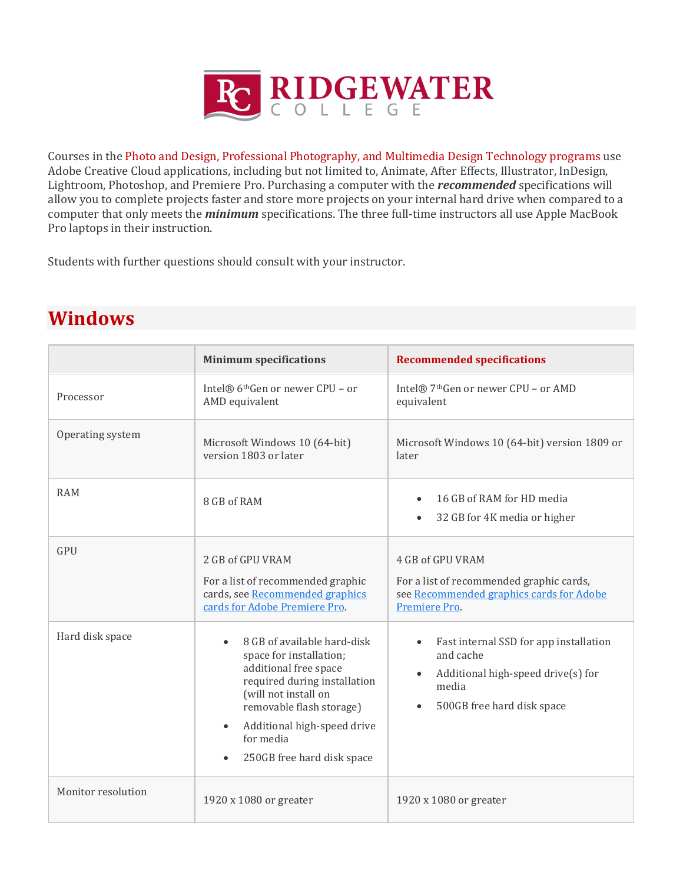

Courses in the Photo and Design, Professional Photography, and Multimedia Design Technology programs use Adobe Creative Cloud applications, including but not limited to, Animate, After Effects, Illustrator, InDesign, Lightroom, Photoshop, and Premiere Pro. Purchasing a computer with the *recommended* specifications will allow you to complete projects faster and store more projects on your internal hard drive when compared to a computer that only meets the *minimum* specifications. The three full-time instructors all use Apple MacBook Pro laptops in their instruction.

Students with further questions should consult with your instructor.

|                    | <b>Minimum specifications</b>                                                                                                                                                                                                                                           | <b>Recommended specifications</b>                                                                                                                                       |
|--------------------|-------------------------------------------------------------------------------------------------------------------------------------------------------------------------------------------------------------------------------------------------------------------------|-------------------------------------------------------------------------------------------------------------------------------------------------------------------------|
| Processor          | Intel® 6 <sup>th</sup> Gen or newer CPU - or<br>AMD equivalent                                                                                                                                                                                                          | Intel® 7 <sup>th</sup> Gen or newer CPU - or AMD<br>equivalent                                                                                                          |
| Operating system   | Microsoft Windows 10 (64-bit)<br>version 1803 or later                                                                                                                                                                                                                  | Microsoft Windows 10 (64-bit) version 1809 or<br>later                                                                                                                  |
| <b>RAM</b>         | 8 GB of RAM                                                                                                                                                                                                                                                             | 16 GB of RAM for HD media<br>$\bullet$<br>32 GB for 4K media or higher<br>$\bullet$                                                                                     |
| <b>GPU</b>         | 2 GB of GPU VRAM<br>For a list of recommended graphic<br>cards, see Recommended graphics<br>cards for Adobe Premiere Pro.                                                                                                                                               | 4 GB of GPU VRAM<br>For a list of recommended graphic cards,<br>see Recommended graphics cards for Adobe<br>Premiere Pro.                                               |
| Hard disk space    | 8 GB of available hard-disk<br>$\bullet$<br>space for installation;<br>additional free space<br>required during installation<br>(will not install on<br>removable flash storage)<br>Additional high-speed drive<br>$\bullet$<br>for media<br>250GB free hard disk space | Fast internal SSD for app installation<br>$\bullet$<br>and cache<br>Additional high-speed drive(s) for<br>$\bullet$<br>media<br>500GB free hard disk space<br>$\bullet$ |
| Monitor resolution | 1920 x 1080 or greater                                                                                                                                                                                                                                                  | 1920 x 1080 or greater                                                                                                                                                  |

## **Windows**